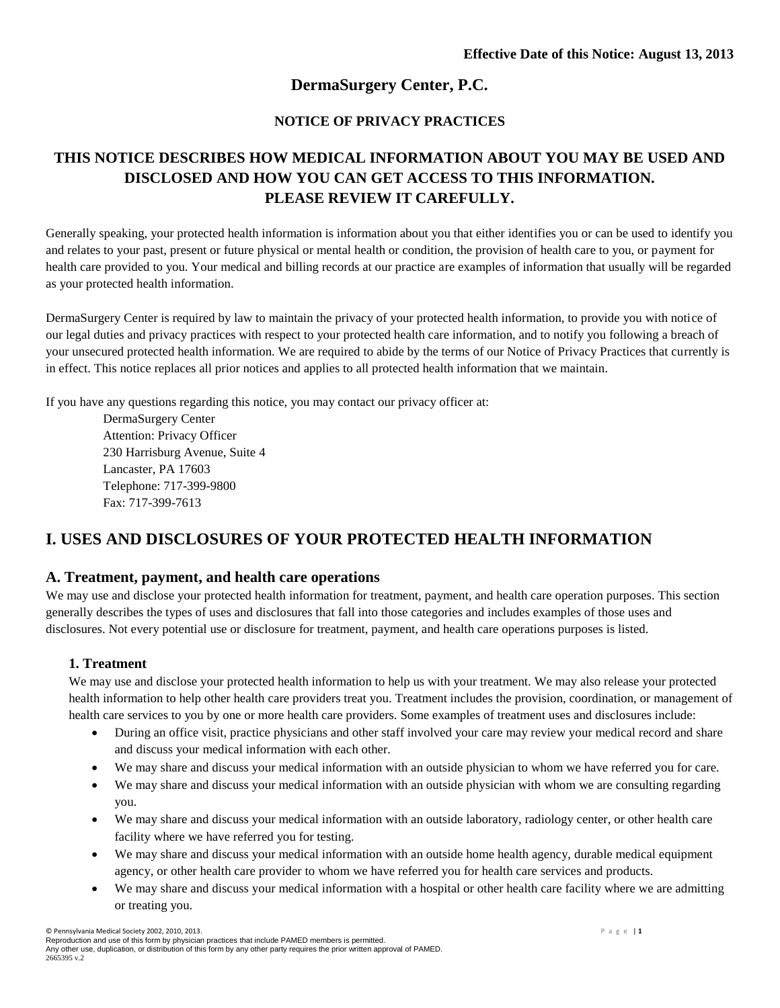# **DermaSurgery Center, P.C.**

## **NOTICE OF PRIVACY PRACTICES**

# **THIS NOTICE DESCRIBES HOW MEDICAL INFORMATION ABOUT YOU MAY BE USED AND DISCLOSED AND HOW YOU CAN GET ACCESS TO THIS INFORMATION. PLEASE REVIEW IT CAREFULLY.**

Generally speaking, your protected health information is information about you that either identifies you or can be used to identify you and relates to your past, present or future physical or mental health or condition, the provision of health care to you, or payment for health care provided to you. Your medical and billing records at our practice are examples of information that usually will be regarded as your protected health information.

DermaSurgery Center is required by law to maintain the privacy of your protected health information, to provide you with notice of our legal duties and privacy practices with respect to your protected health care information, and to notify you following a breach of your unsecured protected health information. We are required to abide by the terms of our Notice of Privacy Practices that currently is in effect. This notice replaces all prior notices and applies to all protected health information that we maintain.

If you have any questions regarding this notice, you may contact our privacy officer at:

DermaSurgery Center Attention: Privacy Officer 230 Harrisburg Avenue, Suite 4 Lancaster, PA 17603 Telephone: 717-399-9800 Fax: 717-399-7613

# **I. USES AND DISCLOSURES OF YOUR PROTECTED HEALTH INFORMATION**

## **A. Treatment, payment, and health care operations**

We may use and disclose your protected health information for treatment, payment, and health care operation purposes. This section generally describes the types of uses and disclosures that fall into those categories and includes examples of those uses and disclosures. Not every potential use or disclosure for treatment, payment, and health care operations purposes is listed.

## **1. Treatment**

We may use and disclose your protected health information to help us with your treatment. We may also release your protected health information to help other health care providers treat you. Treatment includes the provision, coordination, or management of health care services to you by one or more health care providers. Some examples of treatment uses and disclosures include:

- During an office visit, practice physicians and other staff involved your care may review your medical record and share and discuss your medical information with each other.
- We may share and discuss your medical information with an outside physician to whom we have referred you for care.
- We may share and discuss your medical information with an outside physician with whom we are consulting regarding you.
- We may share and discuss your medical information with an outside laboratory, radiology center, or other health care facility where we have referred you for testing.
- We may share and discuss your medical information with an outside home health agency, durable medical equipment agency, or other health care provider to whom we have referred you for health care services and products.
- We may share and discuss your medical information with a hospital or other health care facility where we are admitting or treating you.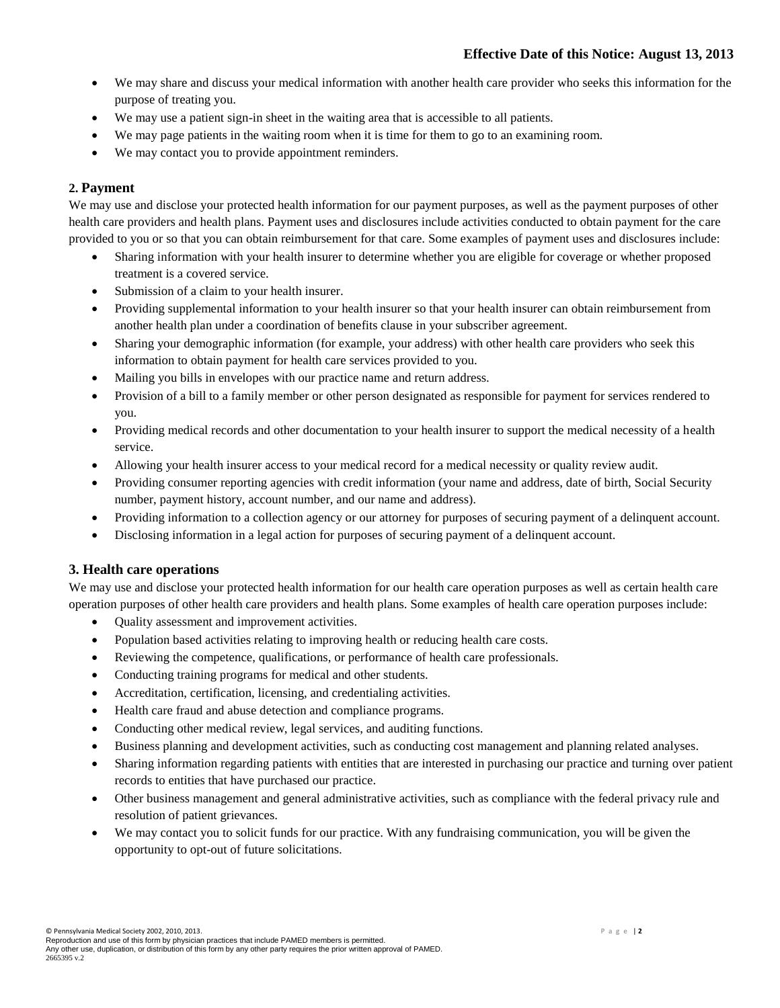- We may share and discuss your medical information with another health care provider who seeks this information for the purpose of treating you.
- We may use a patient sign-in sheet in the waiting area that is accessible to all patients.
- We may page patients in the waiting room when it is time for them to go to an examining room.
- We may contact you to provide appointment reminders.

## **2. Payment**

We may use and disclose your protected health information for our payment purposes, as well as the payment purposes of other health care providers and health plans. Payment uses and disclosures include activities conducted to obtain payment for the care provided to you or so that you can obtain reimbursement for that care. Some examples of payment uses and disclosures include:

- Sharing information with your health insurer to determine whether you are eligible for coverage or whether proposed treatment is a covered service.
- Submission of a claim to your health insurer.
- Providing supplemental information to your health insurer so that your health insurer can obtain reimbursement from another health plan under a coordination of benefits clause in your subscriber agreement.
- Sharing your demographic information (for example, your address) with other health care providers who seek this information to obtain payment for health care services provided to you.
- Mailing you bills in envelopes with our practice name and return address.
- Provision of a bill to a family member or other person designated as responsible for payment for services rendered to you.
- Providing medical records and other documentation to your health insurer to support the medical necessity of a health service.
- Allowing your health insurer access to your medical record for a medical necessity or quality review audit.
- Providing consumer reporting agencies with credit information (your name and address, date of birth, Social Security number, payment history, account number, and our name and address).
- Providing information to a collection agency or our attorney for purposes of securing payment of a delinquent account.
- Disclosing information in a legal action for purposes of securing payment of a delinquent account.

#### **3. Health care operations**

We may use and disclose your protected health information for our health care operation purposes as well as certain health care operation purposes of other health care providers and health plans. Some examples of health care operation purposes include:

- Quality assessment and improvement activities.
- Population based activities relating to improving health or reducing health care costs.
- Reviewing the competence, qualifications, or performance of health care professionals.
- Conducting training programs for medical and other students.
- Accreditation, certification, licensing, and credentialing activities.
- Health care fraud and abuse detection and compliance programs.
- Conducting other medical review, legal services, and auditing functions.
- Business planning and development activities, such as conducting cost management and planning related analyses.
- Sharing information regarding patients with entities that are interested in purchasing our practice and turning over patient records to entities that have purchased our practice.
- Other business management and general administrative activities, such as compliance with the federal privacy rule and resolution of patient grievances.
- We may contact you to solicit funds for our practice. With any fundraising communication, you will be given the opportunity to opt-out of future solicitations.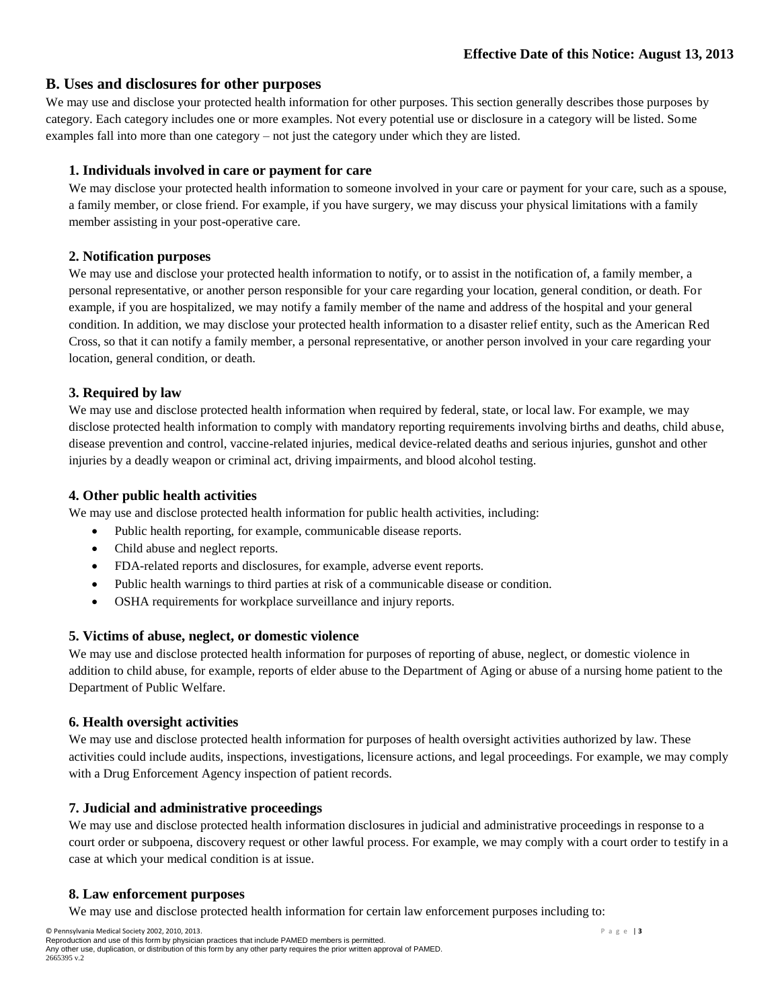## **B. Uses and disclosures for other purposes**

We may use and disclose your protected health information for other purposes. This section generally describes those purposes by category. Each category includes one or more examples. Not every potential use or disclosure in a category will be listed. Some examples fall into more than one category – not just the category under which they are listed.

### **1. Individuals involved in care or payment for care**

We may disclose your protected health information to someone involved in your care or payment for your care, such as a spouse, a family member, or close friend. For example, if you have surgery, we may discuss your physical limitations with a family member assisting in your post-operative care.

### **2. Notification purposes**

We may use and disclose your protected health information to notify, or to assist in the notification of, a family member, a personal representative, or another person responsible for your care regarding your location, general condition, or death. For example, if you are hospitalized, we may notify a family member of the name and address of the hospital and your general condition. In addition, we may disclose your protected health information to a disaster relief entity, such as the American Red Cross, so that it can notify a family member, a personal representative, or another person involved in your care regarding your location, general condition, or death.

## **3. Required by law**

We may use and disclose protected health information when required by federal, state, or local law. For example, we may disclose protected health information to comply with mandatory reporting requirements involving births and deaths, child abuse, disease prevention and control, vaccine-related injuries, medical device-related deaths and serious injuries, gunshot and other injuries by a deadly weapon or criminal act, driving impairments, and blood alcohol testing.

#### **4. Other public health activities**

We may use and disclose protected health information for public health activities, including:

- Public health reporting, for example, communicable disease reports.
- Child abuse and neglect reports.
- FDA-related reports and disclosures, for example, adverse event reports.
- Public health warnings to third parties at risk of a communicable disease or condition.
- OSHA requirements for workplace surveillance and injury reports.

## **5. Victims of abuse, neglect, or domestic violence**

We may use and disclose protected health information for purposes of reporting of abuse, neglect, or domestic violence in addition to child abuse, for example, reports of elder abuse to the Department of Aging or abuse of a nursing home patient to the Department of Public Welfare.

## **6. Health oversight activities**

We may use and disclose protected health information for purposes of health oversight activities authorized by law. These activities could include audits, inspections, investigations, licensure actions, and legal proceedings. For example, we may comply with a Drug Enforcement Agency inspection of patient records.

## **7. Judicial and administrative proceedings**

We may use and disclose protected health information disclosures in judicial and administrative proceedings in response to a court order or subpoena, discovery request or other lawful process. For example, we may comply with a court order to testify in a case at which your medical condition is at issue.

## **8. Law enforcement purposes**

We may use and disclose protected health information for certain law enforcement purposes including to: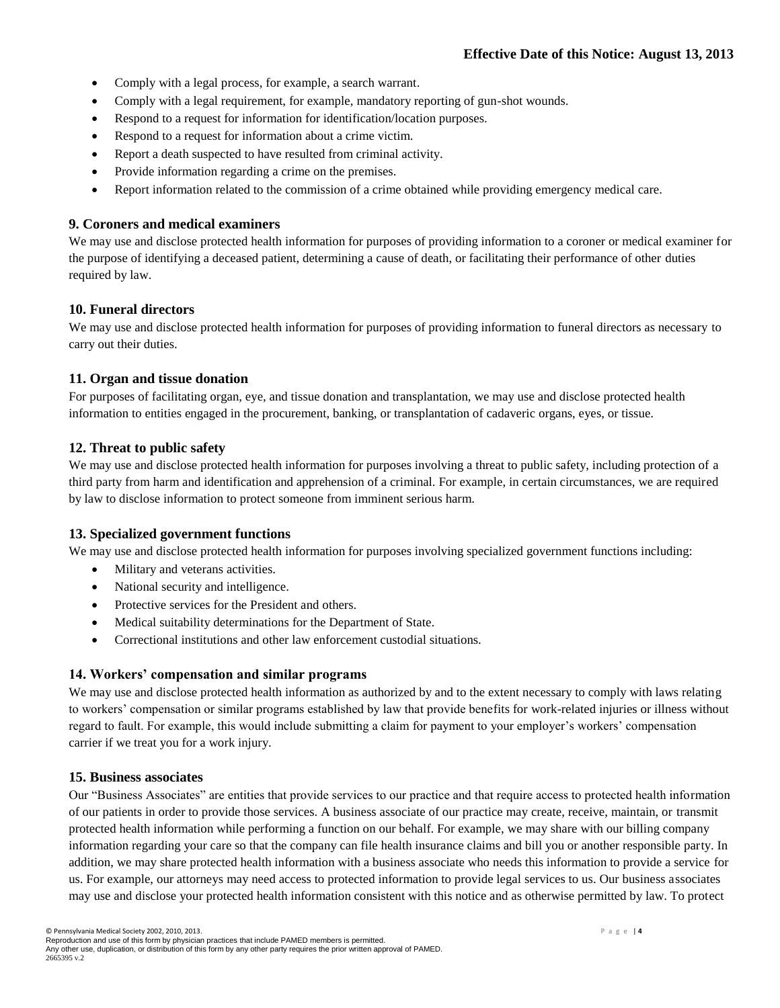- Comply with a legal process, for example, a search warrant.
- Comply with a legal requirement, for example, mandatory reporting of gun-shot wounds.
- Respond to a request for information for identification/location purposes.
- Respond to a request for information about a crime victim.
- Report a death suspected to have resulted from criminal activity.
- Provide information regarding a crime on the premises.
- Report information related to the commission of a crime obtained while providing emergency medical care.

#### **9. Coroners and medical examiners**

We may use and disclose protected health information for purposes of providing information to a coroner or medical examiner for the purpose of identifying a deceased patient, determining a cause of death, or facilitating their performance of other duties required by law.

#### **10. Funeral directors**

We may use and disclose protected health information for purposes of providing information to funeral directors as necessary to carry out their duties.

#### **11. Organ and tissue donation**

For purposes of facilitating organ, eye, and tissue donation and transplantation, we may use and disclose protected health information to entities engaged in the procurement, banking, or transplantation of cadaveric organs, eyes, or tissue.

## **12. Threat to public safety**

We may use and disclose protected health information for purposes involving a threat to public safety, including protection of a third party from harm and identification and apprehension of a criminal. For example, in certain circumstances, we are required by law to disclose information to protect someone from imminent serious harm.

#### **13. Specialized government functions**

We may use and disclose protected health information for purposes involving specialized government functions including:

- Military and veterans activities.
- National security and intelligence.
- Protective services for the President and others.
- Medical suitability determinations for the Department of State.
- Correctional institutions and other law enforcement custodial situations.

#### **14. Workers' compensation and similar programs**

We may use and disclose protected health information as authorized by and to the extent necessary to comply with laws relating to workers' compensation or similar programs established by law that provide benefits for work-related injuries or illness without regard to fault. For example, this would include submitting a claim for payment to your employer's workers' compensation carrier if we treat you for a work injury.

#### **15. Business associates**

Our "Business Associates" are entities that provide services to our practice and that require access to protected health information of our patients in order to provide those services. A business associate of our practice may create, receive, maintain, or transmit protected health information while performing a function on our behalf. For example, we may share with our billing company information regarding your care so that the company can file health insurance claims and bill you or another responsible party. In addition, we may share protected health information with a business associate who needs this information to provide a service for us. For example, our attorneys may need access to protected information to provide legal services to us. Our business associates may use and disclose your protected health information consistent with this notice and as otherwise permitted by law. To protect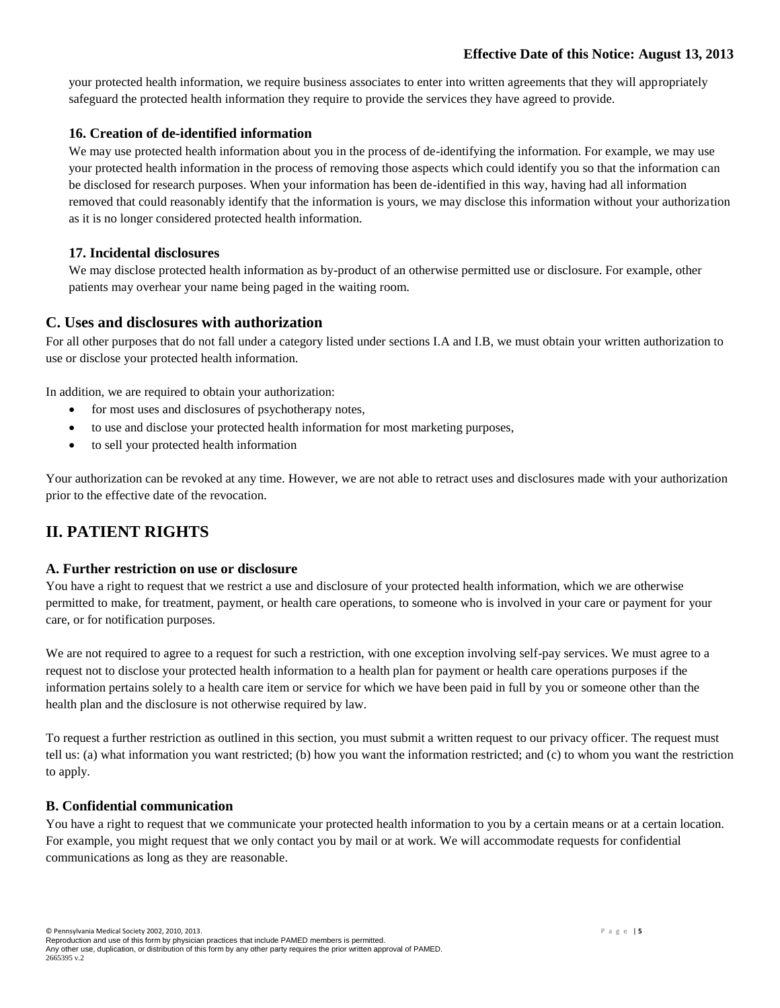your protected health information, we require business associates to enter into written agreements that they will appropriately safeguard the protected health information they require to provide the services they have agreed to provide.

## **16. Creation of de-identified information**

We may use protected health information about you in the process of de-identifying the information. For example, we may use your protected health information in the process of removing those aspects which could identify you so that the information can be disclosed for research purposes. When your information has been de-identified in this way, having had all information removed that could reasonably identify that the information is yours, we may disclose this information without your authorization as it is no longer considered protected health information.

## **17. Incidental disclosures**

We may disclose protected health information as by-product of an otherwise permitted use or disclosure. For example, other patients may overhear your name being paged in the waiting room.

## **C. Uses and disclosures with authorization**

For all other purposes that do not fall under a category listed under sections I.A and I.B, we must obtain your written authorization to use or disclose your protected health information.

In addition, we are required to obtain your authorization:

- for most uses and disclosures of psychotherapy notes,
- to use and disclose your protected health information for most marketing purposes,
- to sell your protected health information

Your authorization can be revoked at any time. However, we are not able to retract uses and disclosures made with your authorization prior to the effective date of the revocation.

# **II. PATIENT RIGHTS**

## **A. Further restriction on use or disclosure**

You have a right to request that we restrict a use and disclosure of your protected health information, which we are otherwise permitted to make, for treatment, payment, or health care operations, to someone who is involved in your care or payment for your care, or for notification purposes.

We are not required to agree to a request for such a restriction, with one exception involving self-pay services. We must agree to a request not to disclose your protected health information to a health plan for payment or health care operations purposes if the information pertains solely to a health care item or service for which we have been paid in full by you or someone other than the health plan and the disclosure is not otherwise required by law.

To request a further restriction as outlined in this section, you must submit a written request to our privacy officer. The request must tell us: (a) what information you want restricted; (b) how you want the information restricted; and (c) to whom you want the restriction to apply.

## **B. Confidential communication**

You have a right to request that we communicate your protected health information to you by a certain means or at a certain location. For example, you might request that we only contact you by mail or at work. We will accommodate requests for confidential communications as long as they are reasonable.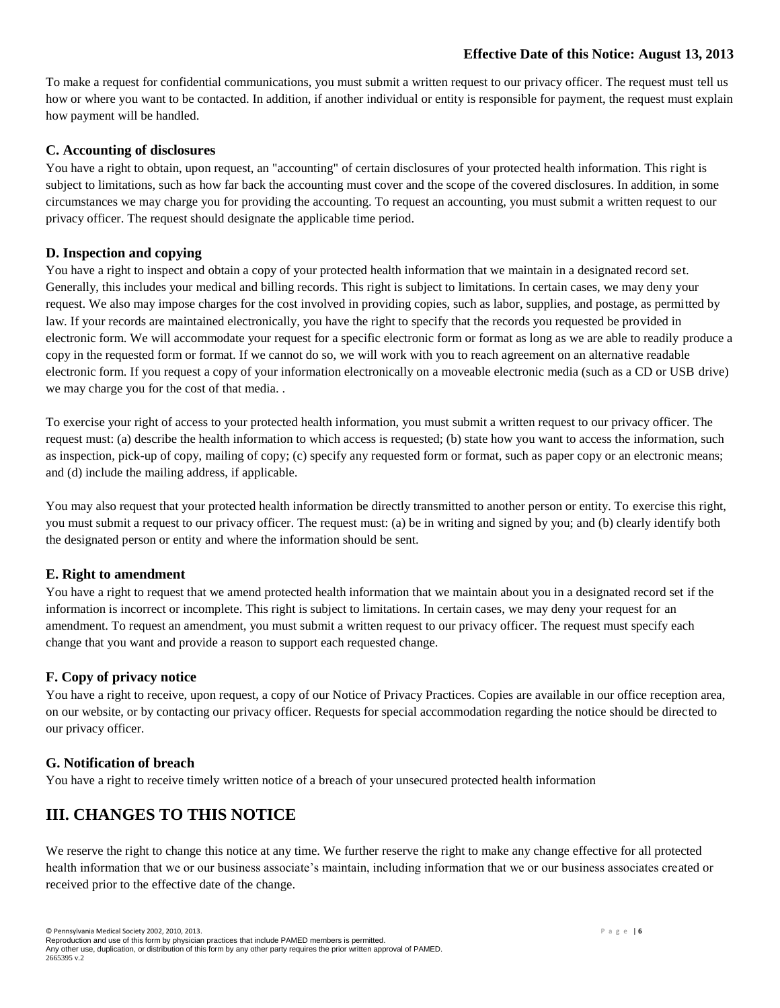## **Effective Date of this Notice: August 13, 2013**

To make a request for confidential communications, you must submit a written request to our privacy officer. The request must tell us how or where you want to be contacted. In addition, if another individual or entity is responsible for payment, the request must explain how payment will be handled.

### **C. Accounting of disclosures**

You have a right to obtain, upon request, an "accounting" of certain disclosures of your protected health information. This right is subject to limitations, such as how far back the accounting must cover and the scope of the covered disclosures. In addition, in some circumstances we may charge you for providing the accounting. To request an accounting, you must submit a written request to our privacy officer. The request should designate the applicable time period.

## **D. Inspection and copying**

You have a right to inspect and obtain a copy of your protected health information that we maintain in a designated record set. Generally, this includes your medical and billing records. This right is subject to limitations. In certain cases, we may deny your request. We also may impose charges for the cost involved in providing copies, such as labor, supplies, and postage, as permitted by law. If your records are maintained electronically, you have the right to specify that the records you requested be provided in electronic form. We will accommodate your request for a specific electronic form or format as long as we are able to readily produce a copy in the requested form or format. If we cannot do so, we will work with you to reach agreement on an alternative readable electronic form. If you request a copy of your information electronically on a moveable electronic media (such as a CD or USB drive) we may charge you for the cost of that media. .

To exercise your right of access to your protected health information, you must submit a written request to our privacy officer. The request must: (a) describe the health information to which access is requested; (b) state how you want to access the information, such as inspection, pick-up of copy, mailing of copy; (c) specify any requested form or format, such as paper copy or an electronic means; and (d) include the mailing address, if applicable.

You may also request that your protected health information be directly transmitted to another person or entity. To exercise this right, you must submit a request to our privacy officer. The request must: (a) be in writing and signed by you; and (b) clearly identify both the designated person or entity and where the information should be sent.

## **E. Right to amendment**

You have a right to request that we amend protected health information that we maintain about you in a designated record set if the information is incorrect or incomplete. This right is subject to limitations. In certain cases, we may deny your request for an amendment. To request an amendment, you must submit a written request to our privacy officer. The request must specify each change that you want and provide a reason to support each requested change.

## **F. Copy of privacy notice**

You have a right to receive, upon request, a copy of our Notice of Privacy Practices. Copies are available in our office reception area, on our website, or by contacting our privacy officer. Requests for special accommodation regarding the notice should be directed to our privacy officer.

## **G. Notification of breach**

You have a right to receive timely written notice of a breach of your unsecured protected health information

## **III. CHANGES TO THIS NOTICE**

We reserve the right to change this notice at any time. We further reserve the right to make any change effective for all protected health information that we or our business associate's maintain, including information that we or our business associates created or received prior to the effective date of the change.

Reproduction and use of this form by physician practices that include PAMED members is permitted. Any other use, duplication, or distribution of this form by any other party requires the prior written approval of PAMED. 2665395 v.2